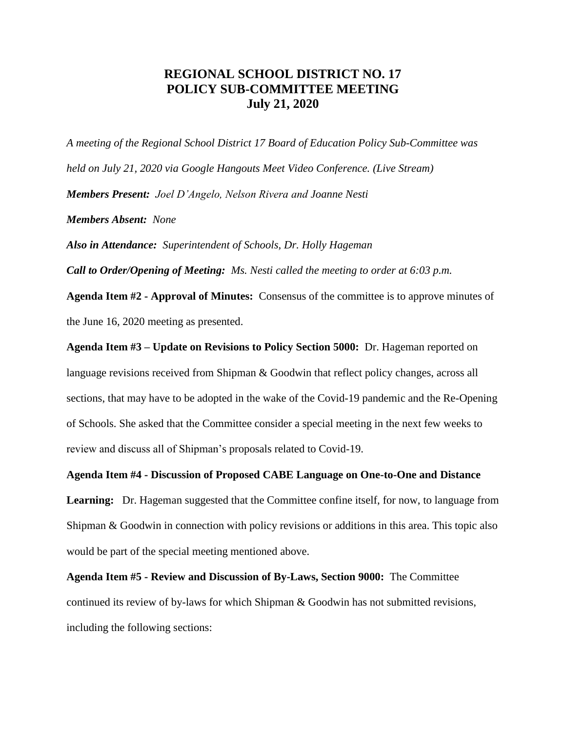## **REGIONAL SCHOOL DISTRICT NO. 17 POLICY SUB-COMMITTEE MEETING July 21, 2020**

*A meeting of the Regional School District 17 Board of Education Policy Sub-Committee was held on July 21, 2020 via Google Hangouts Meet Video Conference. (Live Stream) Members Present: Joel D'Angelo, Nelson Rivera and Joanne Nesti Members Absent: None*

*Also in Attendance: Superintendent of Schools, Dr. Holly Hageman*

*Call to Order/Opening of Meeting: Ms. Nesti called the meeting to order at 6:03 p.m.* 

**Agenda Item #2 - Approval of Minutes:** Consensus of the committee is to approve minutes of the June 16, 2020 meeting as presented.

**Agenda Item #3 – Update on Revisions to Policy Section 5000:** Dr. Hageman reported on language revisions received from Shipman & Goodwin that reflect policy changes, across all sections, that may have to be adopted in the wake of the Covid-19 pandemic and the Re-Opening of Schools. She asked that the Committee consider a special meeting in the next few weeks to review and discuss all of Shipman's proposals related to Covid-19.

**Agenda Item #4 - Discussion of Proposed CABE Language on One-to-One and Distance** 

**Learning:** Dr. Hageman suggested that the Committee confine itself, for now, to language from Shipman & Goodwin in connection with policy revisions or additions in this area. This topic also would be part of the special meeting mentioned above.

**Agenda Item #5 - Review and Discussion of By-Laws, Section 9000:** The Committee continued its review of by-laws for which Shipman & Goodwin has not submitted revisions, including the following sections: